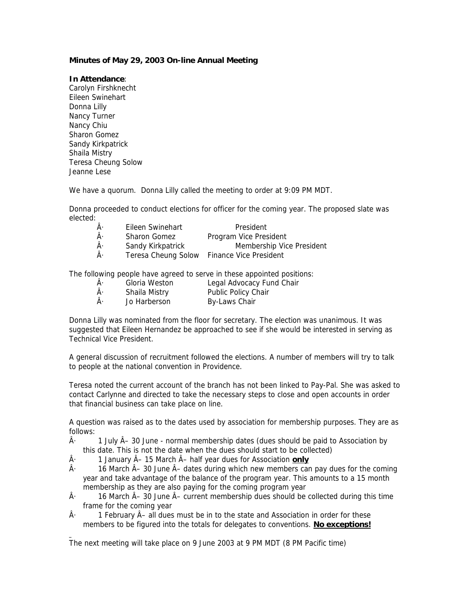## **Minutes of May 29, 2003 On-line Annual Meeting**

## **In Attendance**:

Carolyn Firshknecht Eileen Swinehart Donna Lilly Nancy Turner Nancy Chiu Sharon Gomez Sandy Kirkpatrick Shaila Mistry Teresa Cheung Solow Jeanne Lese

We have a quorum. Donna Lilly called the meeting to order at 9:09 PM MDT.

Donna proceeded to conduct elections for officer for the coming year. The proposed slate was elected:

| Â۰ | Eileen Swinehart    | President                     |
|----|---------------------|-------------------------------|
| Â۰ | <b>Sharon Gomez</b> | Program Vice President        |
| Â۰ | Sandy Kirkpatrick   | Membership Vice President     |
| Â۰ | Teresa Cheung Solow | <b>Finance Vice President</b> |

The following people have agreed to serve in these appointed positions:

- $\hat{A}$  Gloria Weston Legal Advocacy Fund Chair
- $\hat{A}$  Shaila Mistry Public Policy Chair
- $\hat{A}$  Jo Harberson By-Laws Chair

Donna Lilly was nominated from the floor for secretary. The election was unanimous. It was suggested that Eileen Hernandez be approached to see if she would be interested in serving as Technical Vice President.

A general discussion of recruitment followed the elections. A number of members will try to talk to people at the national convention in Providence.

Teresa noted the current account of the branch has not been linked to Pay-Pal. She was asked to contact Carlynne and directed to take the necessary steps to close and open accounts in order that financial business can take place on line.

A question was raised as to the dates used by association for membership purposes. They are as follows:

- $\hat{A}$  1 July  $\hat{A}$  30 June normal membership dates (dues should be paid to Association by this date. This is not the date when the dues should start to be collected)
- $\hat{A}$  1 January  $\hat{A}$  15 March  $\hat{A}$  half year dues for Association **only**
- $\hat{A}$  16 March  $\hat{A}$  30 June  $\hat{A}$  dates during which new members can pay dues for the coming year and take advantage of the balance of the program year. This amounts to a 15 month membership as they are also paying for the coming program year
- $\hat{A}$  16 March  $\hat{A}$  30 June  $\hat{A}$  current membership dues should be collected during this time frame for the coming year
- $\hat{A}$  1 February  $\hat{A}$  all dues must be in to the state and Association in order for these members to be figured into the totals for delegates to conventions. **No exceptions!**

The next meeting will take place on 9 June 2003 at 9 PM MDT (8 PM Pacific time)